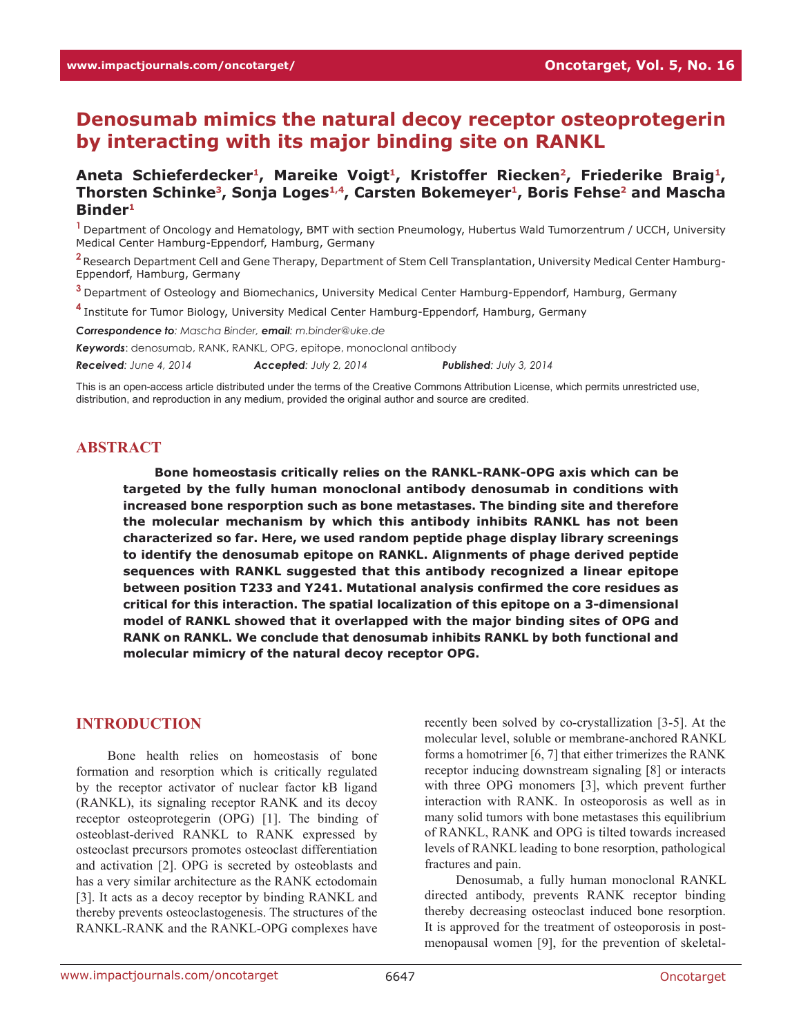# **Denosumab mimics the natural decoy receptor osteoprotegerin by interacting with its major binding site on RANKL**

# Aneta Schieferdecker<sup>1</sup>, Mareike Voigt<sup>1</sup>, Kristoffer Riecken<sup>2</sup>, Friederike Braig<sup>1</sup>, Thorsten Schinke<sup>3</sup>, Sonja Loges<sup>1,4</sup>, Carsten Bokemeyer<sup>1</sup>, Boris Fehse<sup>2</sup> and Mascha **Binder1**

**<sup>1</sup>**Department of Oncology and Hematology, BMT with section Pneumology, Hubertus Wald Tumorzentrum / UCCH, University Medical Center Hamburg-Eppendorf, Hamburg, Germany

**<sup>2</sup>**Research Department Cell and Gene Therapy, Department of Stem Cell Transplantation, University Medical Center Hamburg-Eppendorf, Hamburg, Germany

**<sup>3</sup>**Department of Osteology and Biomechanics, University Medical Center Hamburg-Eppendorf, Hamburg, Germany

**<sup>4</sup>**Institute for Tumor Biology, University Medical Center Hamburg-Eppendorf, Hamburg, Germany

*Correspondence to: Mascha Binder, email: m.binder@uke.de*

*Keywords*: denosumab, RANK, RANKL, OPG, epitope, monoclonal antibody

*Received: June 4, 2014 Accepted: July 2, 2014 Published: July 3, 2014*

This is an open-access article distributed under the terms of the Creative Commons Attribution License, which permits unrestricted use, distribution, and reproduction in any medium, provided the original author and source are credited.

# **ABSTRACT**

**Bone homeostasis critically relies on the RANKL-RANK-OPG axis which can be targeted by the fully human monoclonal antibody denosumab in conditions with increased bone resporption such as bone metastases. The binding site and therefore the molecular mechanism by which this antibody inhibits RANKL has not been characterized so far. Here, we used random peptide phage display library screenings to identify the denosumab epitope on RANKL. Alignments of phage derived peptide sequences with RANKL suggested that this antibody recognized a linear epitope between position T233 and Y241. Mutational analysis confirmed the core residues as critical for this interaction. The spatial localization of this epitope on a 3-dimensional model of RANKL showed that it overlapped with the major binding sites of OPG and RANK on RANKL. We conclude that denosumab inhibits RANKL by both functional and molecular mimicry of the natural decoy receptor OPG.**

# **INTRODUCTION**

Bone health relies on homeostasis of bone formation and resorption which is critically regulated by the receptor activator of nuclear factor kB ligand (RANKL), its signaling receptor RANK and its decoy receptor osteoprotegerin (OPG) [1]. The binding of osteoblast-derived RANKL to RANK expressed by osteoclast precursors promotes osteoclast differentiation and activation [2]. OPG is secreted by osteoblasts and has a very similar architecture as the RANK ectodomain [3]. It acts as a decoy receptor by binding RANKL and thereby prevents osteoclastogenesis. The structures of the RANKL-RANK and the RANKL-OPG complexes have

recently been solved by co-crystallization [3-5]. At the molecular level, soluble or membrane-anchored RANKL forms a homotrimer [6, 7] that either trimerizes the RANK receptor inducing downstream signaling [8] or interacts with three OPG monomers [3], which prevent further interaction with RANK. In osteoporosis as well as in many solid tumors with bone metastases this equilibrium of RANKL, RANK and OPG is tilted towards increased levels of RANKL leading to bone resorption, pathological fractures and pain.

Denosumab, a fully human monoclonal RANKL directed antibody, prevents RANK receptor binding thereby decreasing osteoclast induced bone resorption. It is approved for the treatment of osteoporosis in postmenopausal women [9], for the prevention of skeletal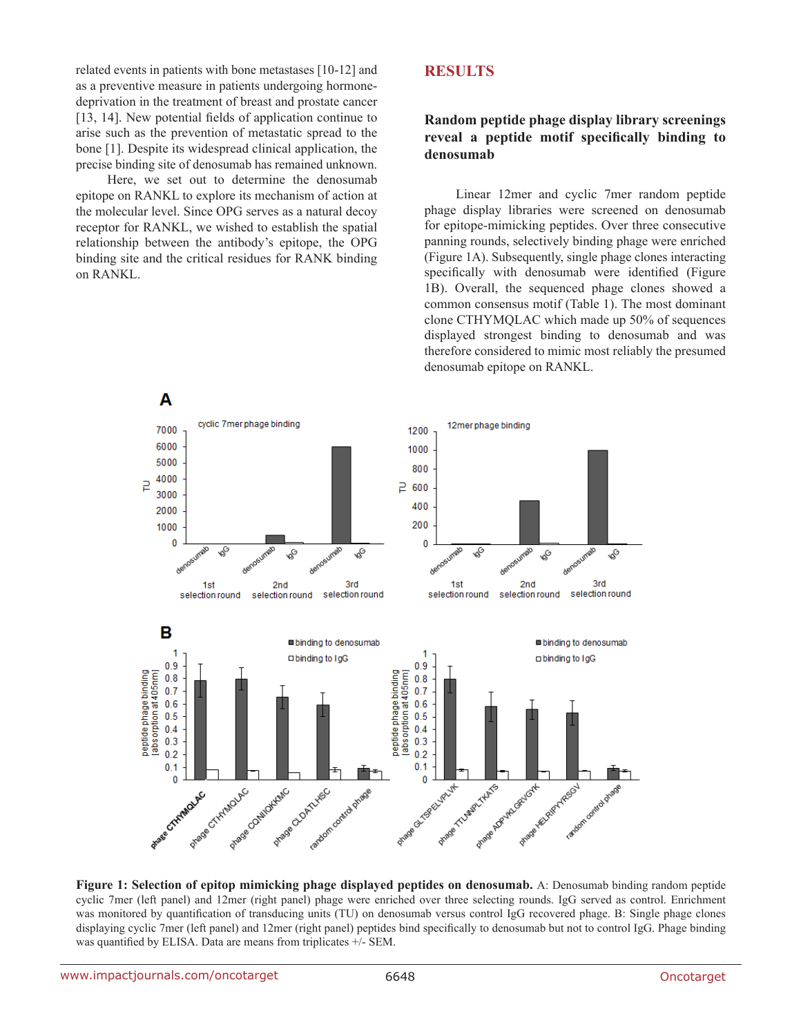related events in patients with bone metastases [10-12] and as a preventive measure in patients undergoing hormonedeprivation in the treatment of breast and prostate cancer [13, 14]. New potential fields of application continue to arise such as the prevention of metastatic spread to the bone [1]. Despite its widespread clinical application, the precise binding site of denosumab has remained unknown.

Here, we set out to determine the denosumab epitope on RANKL to explore its mechanism of action at the molecular level. Since OPG serves as a natural decoy receptor for RANKL, we wished to establish the spatial relationship between the antibody's epitope, the OPG binding site and the critical residues for RANK binding on RANKL.

# **RESULTS**

# **Random peptide phage display library screenings reveal a peptide motif specifically binding to denosumab**

Linear 12mer and cyclic 7mer random peptide phage display libraries were screened on denosumab for epitope-mimicking peptides. Over three consecutive panning rounds, selectively binding phage were enriched (Figure 1A). Subsequently, single phage clones interacting specifically with denosumab were identified (Figure 1B). Overall, the sequenced phage clones showed a common consensus motif (Table 1). The most dominant clone CTHYMQLAC which made up 50% of sequences displayed strongest binding to denosumab and was therefore considered to mimic most reliably the presumed denosumab epitope on RANKL.



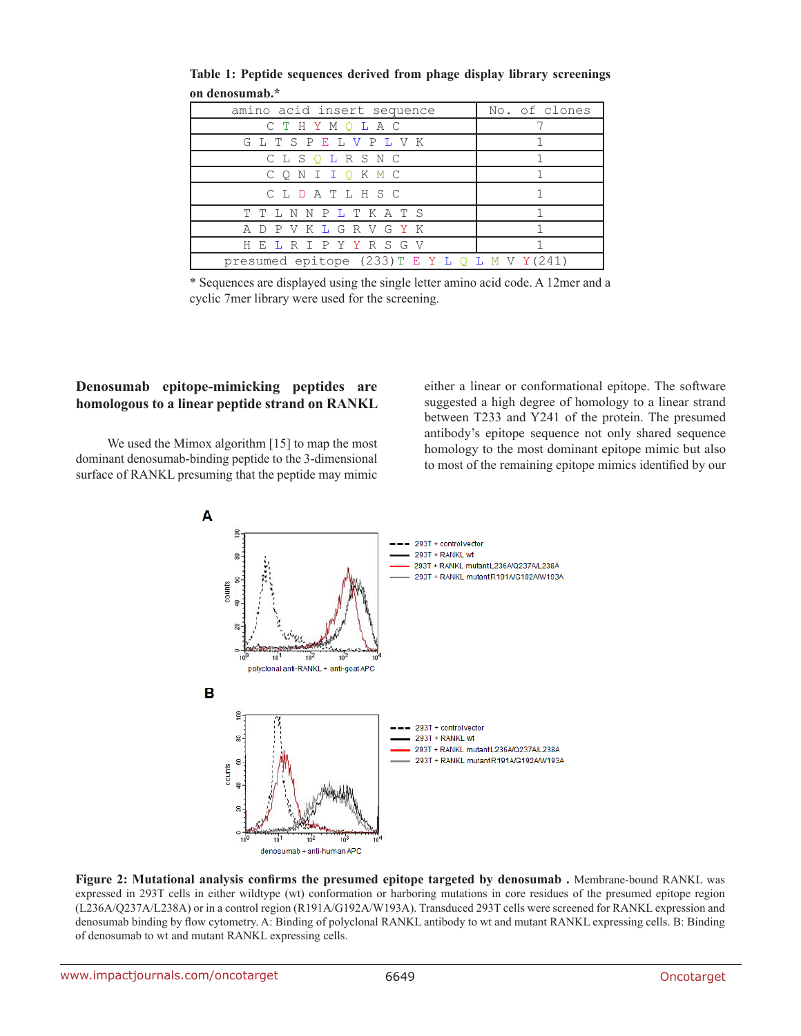| amino acid insert sequence                         | No. of clones |
|----------------------------------------------------|---------------|
| СТНУМОЬАС                                          |               |
| G L T S P E L V P L V K                            |               |
| CLSQLRSNC                                          |               |
| Q N I I Q K M C                                    |               |
| CLDATLHSC                                          |               |
| T T L N N P L T K A T S                            |               |
| A D P V K L G R V G Y K                            |               |
| H E L R T P Y Y R S G V                            |               |
| presumed epitope $(233)$ T E Y L Q L M V Y $(241)$ |               |

**Table 1: Peptide sequences derived from phage display library screenings on denosumab.\***

\* Sequences are displayed using the single letter amino acid code. A 12mer and a cyclic 7mer library were used for the screening.

# **Denosumab epitope-mimicking peptides are homologous to a linear peptide strand on RANKL**

We used the Mimox algorithm [15] to map the most dominant denosumab-binding peptide to the 3-dimensional surface of RANKL presuming that the peptide may mimic either a linear or conformational epitope. The software suggested a high degree of homology to a linear strand between T233 and Y241 of the protein. The presumed antibody's epitope sequence not only shared sequence homology to the most dominant epitope mimic but also to most of the remaining epitope mimics identified by our



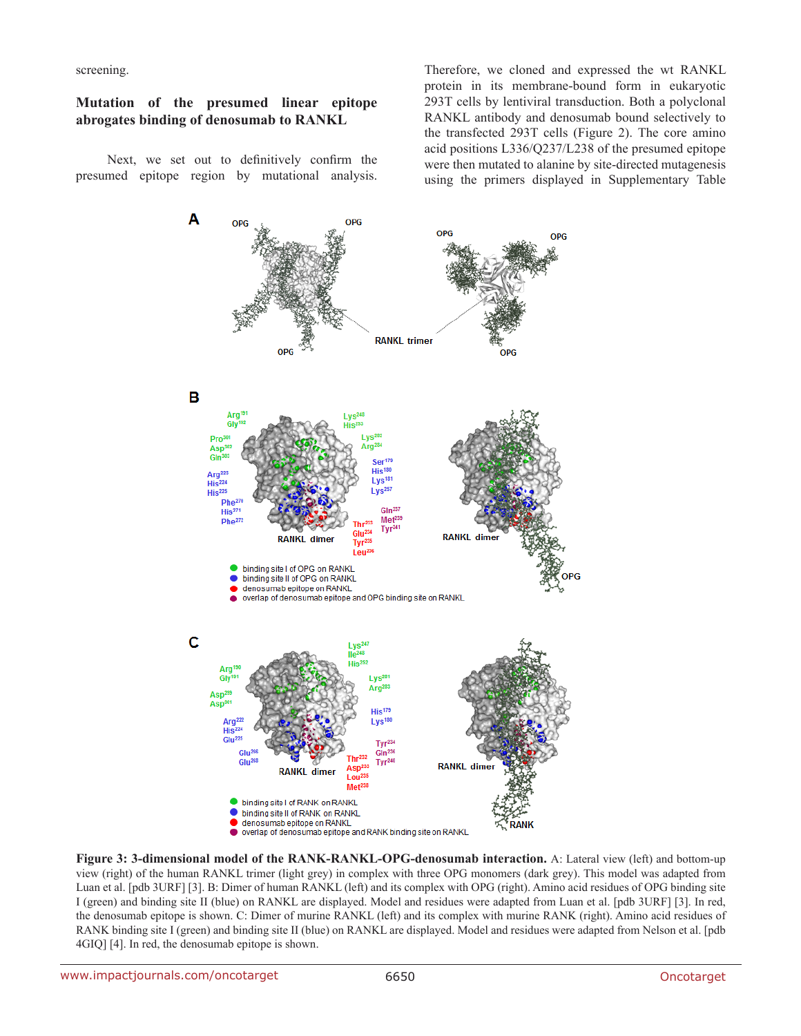screening.

#### **Mutation of the presumed linear epitope abrogates binding of denosumab to RANKL**

Next, we set out to definitively confirm the presumed epitope region by mutational analysis. Therefore, we cloned and expressed the wt RANKL protein in its membrane-bound form in eukaryotic 293T cells by lentiviral transduction. Both a polyclonal RANKL antibody and denosumab bound selectively to the transfected 293T cells (Figure 2). The core amino acid positions L336/Q237/L238 of the presumed epitope were then mutated to alanine by site-directed mutagenesis using the primers displayed in Supplementary Table



**Figure 3: 3-dimensional model of the RANK-RANKL-OPG-denosumab interaction.** A: Lateral view (left) and bottom-up view (right) of the human RANKL trimer (light grey) in complex with three OPG monomers (dark grey). This model was adapted from Luan et al. [pdb 3URF] [3]. B: Dimer of human RANKL (left) and its complex with OPG (right). Amino acid residues of OPG binding site I (green) and binding site II (blue) on RANKL are displayed. Model and residues were adapted from Luan et al. [pdb 3URF] [3]. In red, the denosumab epitope is shown. C: Dimer of murine RANKL (left) and its complex with murine RANK (right). Amino acid residues of RANK binding site I (green) and binding site II (blue) on RANKL are displayed. Model and residues were adapted from Nelson et al. [pdb 4GIQ] [4]. In red, the denosumab epitope is shown.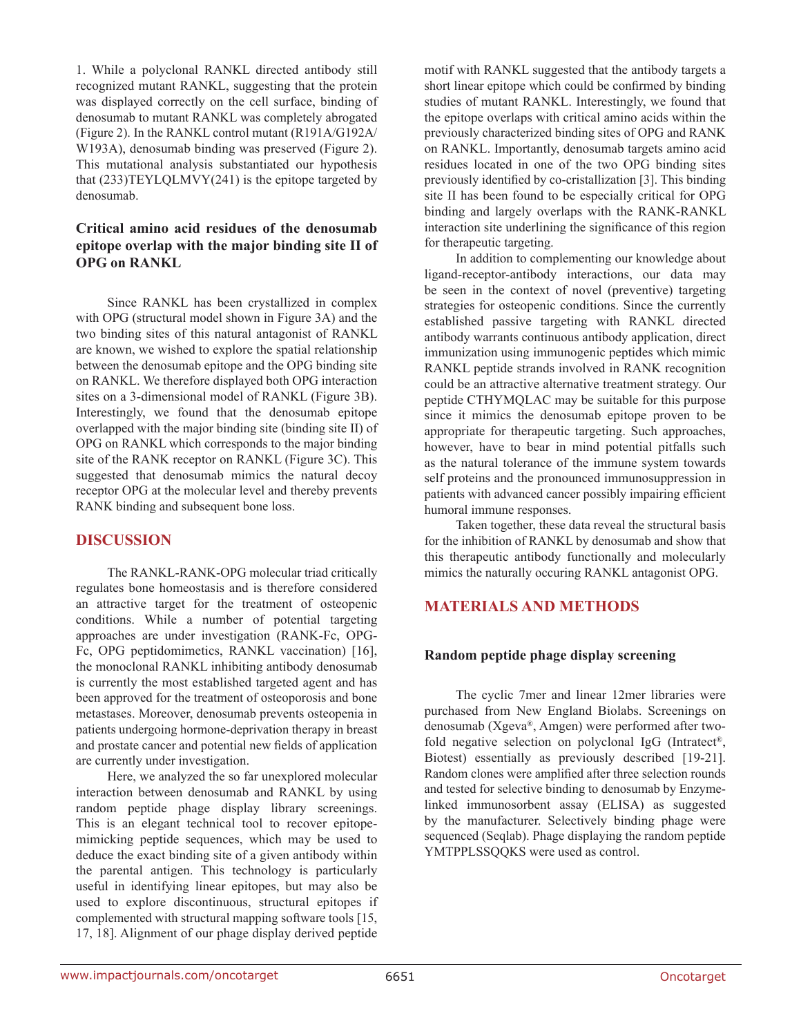1. While a polyclonal RANKL directed antibody still recognized mutant RANKL, suggesting that the protein was displayed correctly on the cell surface, binding of denosumab to mutant RANKL was completely abrogated (Figure 2). In the RANKL control mutant (R191A/G192A/ W193A), denosumab binding was preserved (Figure 2). This mutational analysis substantiated our hypothesis that (233)TEYLQLMVY(241) is the epitope targeted by denosumab.

# **Critical amino acid residues of the denosumab epitope overlap with the major binding site II of OPG on RANKL**

Since RANKL has been crystallized in complex with OPG (structural model shown in Figure 3A) and the two binding sites of this natural antagonist of RANKL are known, we wished to explore the spatial relationship between the denosumab epitope and the OPG binding site on RANKL. We therefore displayed both OPG interaction sites on a 3-dimensional model of RANKL (Figure 3B). Interestingly, we found that the denosumab epitope overlapped with the major binding site (binding site II) of OPG on RANKL which corresponds to the major binding site of the RANK receptor on RANKL (Figure 3C). This suggested that denosumab mimics the natural decoy receptor OPG at the molecular level and thereby prevents RANK binding and subsequent bone loss.

# **DISCUSSION**

The RANKL-RANK-OPG molecular triad critically regulates bone homeostasis and is therefore considered an attractive target for the treatment of osteopenic conditions. While a number of potential targeting approaches are under investigation (RANK-Fc, OPG-Fc, OPG peptidomimetics, RANKL vaccination) [16], the monoclonal RANKL inhibiting antibody denosumab is currently the most established targeted agent and has been approved for the treatment of osteoporosis and bone metastases. Moreover, denosumab prevents osteopenia in patients undergoing hormone-deprivation therapy in breast and prostate cancer and potential new fields of application are currently under investigation.

Here, we analyzed the so far unexplored molecular interaction between denosumab and RANKL by using random peptide phage display library screenings. This is an elegant technical tool to recover epitopemimicking peptide sequences, which may be used to deduce the exact binding site of a given antibody within the parental antigen. This technology is particularly useful in identifying linear epitopes, but may also be used to explore discontinuous, structural epitopes if complemented with structural mapping software tools [15, 17, 18]. Alignment of our phage display derived peptide

motif with RANKL suggested that the antibody targets a short linear epitope which could be confirmed by binding studies of mutant RANKL. Interestingly, we found that the epitope overlaps with critical amino acids within the previously characterized binding sites of OPG and RANK on RANKL. Importantly, denosumab targets amino acid residues located in one of the two OPG binding sites previously identified by co-cristallization [3]. This binding site II has been found to be especially critical for OPG binding and largely overlaps with the RANK-RANKL interaction site underlining the significance of this region for therapeutic targeting.

In addition to complementing our knowledge about ligand-receptor-antibody interactions, our data may be seen in the context of novel (preventive) targeting strategies for osteopenic conditions. Since the currently established passive targeting with RANKL directed antibody warrants continuous antibody application, direct immunization using immunogenic peptides which mimic RANKL peptide strands involved in RANK recognition could be an attractive alternative treatment strategy. Our peptide CTHYMQLAC may be suitable for this purpose since it mimics the denosumab epitope proven to be appropriate for therapeutic targeting. Such approaches, however, have to bear in mind potential pitfalls such as the natural tolerance of the immune system towards self proteins and the pronounced immunosuppression in patients with advanced cancer possibly impairing efficient humoral immune responses.

Taken together, these data reveal the structural basis for the inhibition of RANKL by denosumab and show that this therapeutic antibody functionally and molecularly mimics the naturally occuring RANKL antagonist OPG.

# **MATERIALS AND METHODS**

#### **Random peptide phage display screening**

The cyclic 7mer and linear 12mer libraries were purchased from New England Biolabs. Screenings on denosumab (Xgeva®, Amgen) were performed after twofold negative selection on polyclonal IgG (Intratect®, Biotest) essentially as previously described [19-21]. Random clones were amplified after three selection rounds and tested for selective binding to denosumab by Enzymelinked immunosorbent assay (ELISA) as suggested by the manufacturer. Selectively binding phage were sequenced (Seqlab). Phage displaying the random peptide YMTPPLSSQQKS were used as control.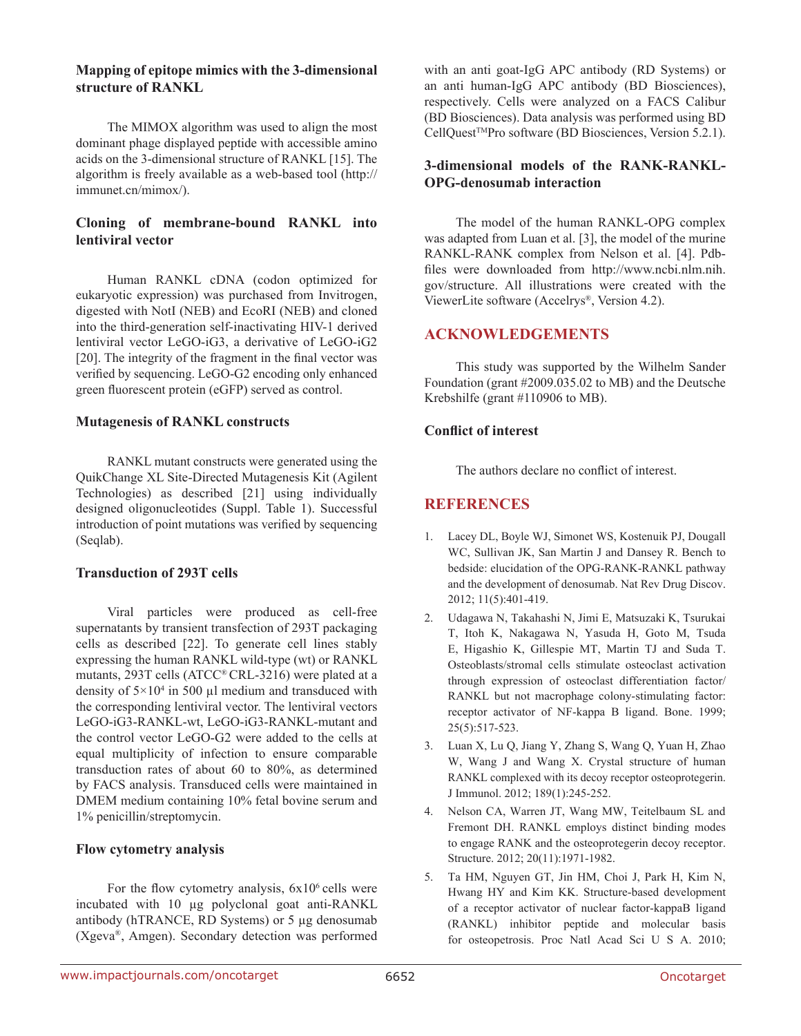### **Mapping of epitope mimics with the 3-dimensional structure of RANKL**

The MIMOX algorithm was used to align the most dominant phage displayed peptide with accessible amino acids on the 3-dimensional structure of RANKL [15]. The algorithm is freely available as a web-based tool (http:// immunet.cn/mimox/).

# **Cloning of membrane-bound RANKL into lentiviral vector**

Human RANKL cDNA (codon optimized for eukaryotic expression) was purchased from Invitrogen, digested with NotI (NEB) and EcoRI (NEB) and cloned into the third-generation self-inactivating HIV-1 derived lentiviral vector LeGO-iG3, a derivative of LeGO-iG2 [20]. The integrity of the fragment in the final vector was verified by sequencing. LeGO-G2 encoding only enhanced green fluorescent protein (eGFP) served as control.

# **Mutagenesis of RANKL constructs**

RANKL mutant constructs were generated using the QuikChange XL Site-Directed Mutagenesis Kit (Agilent Technologies) as described [21] using individually designed oligonucleotides (Suppl. Table 1). Successful introduction of point mutations was verified by sequencing (Seqlab).

# **Transduction of 293T cells**

Viral particles were produced as cell-free supernatants by transient transfection of 293T packaging cells as described [22]. To generate cell lines stably expressing the human RANKL wild-type (wt) or RANKL mutants, 293T cells (ATCC® CRL-3216) were plated at a density of  $5 \times 10^4$  in 500 µl medium and transduced with the corresponding lentiviral vector. The lentiviral vectors LeGO-iG3-RANKL-wt, LeGO-iG3-RANKL-mutant and the control vector LeGO-G2 were added to the cells at equal multiplicity of infection to ensure comparable transduction rates of about 60 to 80%, as determined by FACS analysis. Transduced cells were maintained in DMEM medium containing 10% fetal bovine serum and 1% penicillin/streptomycin.

# **Flow cytometry analysis**

For the flow cytometry analysis,  $6x10<sup>6</sup>$  cells were incubated with 10 µg polyclonal goat anti-RANKL antibody (hTRANCE, RD Systems) or 5 µg denosumab (Xgeva®, Amgen). Secondary detection was performed

with an anti goat-IgG APC antibody (RD Systems) or an anti human-IgG APC antibody (BD Biosciences), respectively. Cells were analyzed on a FACS Calibur (BD Biosciences). Data analysis was performed using BD  $CellQuest<sup>TM</sup>Pro software (BD Biosciences, Version 5.2.1).$ 

# **3-dimensional models of the RANK-RANKL-OPG-denosumab interaction**

The model of the human RANKL-OPG complex was adapted from Luan et al. [3], the model of the murine RANKL-RANK complex from Nelson et al. [4]. Pdbfiles were downloaded from http://www.ncbi.nlm.nih. gov/structure. All illustrations were created with the ViewerLite software (Accelrys®, Version 4.2).

# **ACKNOWLEDGEMENTS**

This study was supported by the Wilhelm Sander Foundation (grant #2009.035.02 to MB) and the Deutsche Krebshilfe (grant #110906 to MB).

# **Conflict of interest**

The authors declare no conflict of interest.

# **REFERENCES**

- 1. Lacey DL, Boyle WJ, Simonet WS, Kostenuik PJ, Dougall WC, Sullivan JK, San Martin J and Dansey R. Bench to bedside: elucidation of the OPG-RANK-RANKL pathway and the development of denosumab. Nat Rev Drug Discov. 2012; 11(5):401-419.
- 2. Udagawa N, Takahashi N, Jimi E, Matsuzaki K, Tsurukai T, Itoh K, Nakagawa N, Yasuda H, Goto M, Tsuda E, Higashio K, Gillespie MT, Martin TJ and Suda T. Osteoblasts/stromal cells stimulate osteoclast activation through expression of osteoclast differentiation factor/ RANKL but not macrophage colony-stimulating factor: receptor activator of NF-kappa B ligand. Bone. 1999; 25(5):517-523.
- 3. Luan X, Lu Q, Jiang Y, Zhang S, Wang Q, Yuan H, Zhao W, Wang J and Wang X. Crystal structure of human RANKL complexed with its decoy receptor osteoprotegerin. J Immunol. 2012; 189(1):245-252.
- 4. Nelson CA, Warren JT, Wang MW, Teitelbaum SL and Fremont DH. RANKL employs distinct binding modes to engage RANK and the osteoprotegerin decoy receptor. Structure. 2012; 20(11):1971-1982.
- 5. Ta HM, Nguyen GT, Jin HM, Choi J, Park H, Kim N, Hwang HY and Kim KK. Structure-based development of a receptor activator of nuclear factor-kappaB ligand (RANKL) inhibitor peptide and molecular basis for osteopetrosis. Proc Natl Acad Sci U S A. 2010;